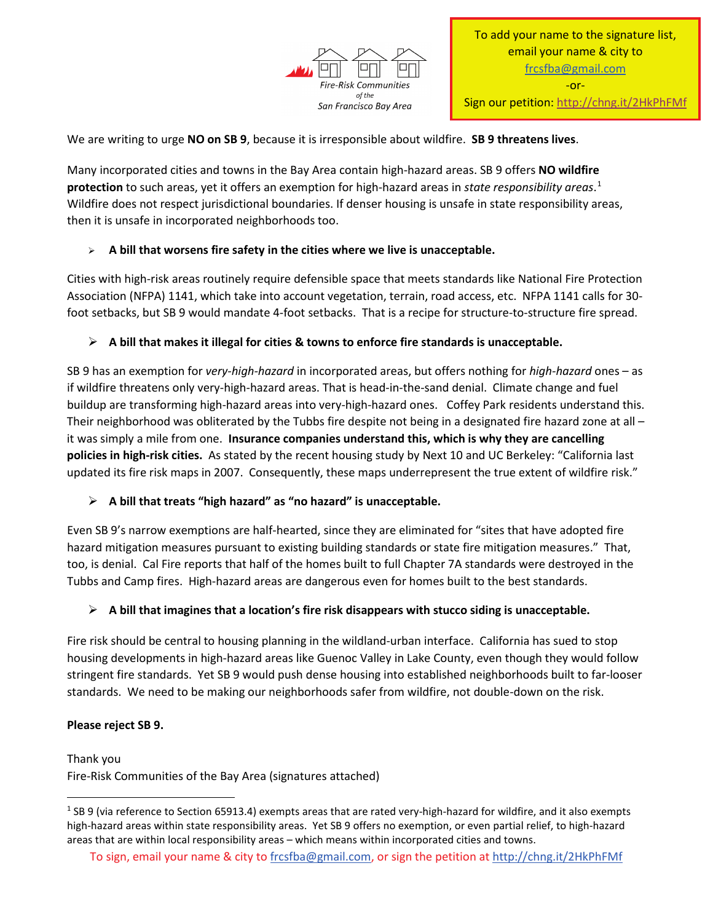

We are writing to urge **NO on SB 9**, because it is irresponsible about wildfire. **SB 9 threatens lives**.

Many incorporated cities and towns in the Bay Area contain high-hazard areas. SB 9 offers **NO wildfire protection** to such areas, yet it offers an exemption for high-hazard areas in *state responsibility areas*. [1](#page-0-0) Wildfire does not respect jurisdictional boundaries. If denser housing is unsafe in state responsibility areas, then it is unsafe in incorporated neighborhoods too.

# **A bill that worsens fire safety in the cities where we live is unacceptable.**

Cities with high-risk areas routinely require defensible space that meets standards like National Fire Protection Association (NFPA) 1141, which take into account vegetation, terrain, road access, etc. NFPA 1141 calls for 30 foot setbacks, but SB 9 would mandate 4-foot setbacks. That is a recipe for structure-to-structure fire spread.

# **A bill that makes it illegal for cities & towns to enforce fire standards is unacceptable.**

SB 9 has an exemption for *very-high-hazard* in incorporated areas, but offers nothing for *high-hazard* ones – as if wildfire threatens only very-high-hazard areas. That is head-in-the-sand denial. Climate change and fuel buildup are transforming high-hazard areas into very-high-hazard ones. Coffey Park residents understand this. Their neighborhood was obliterated by the Tubbs fire despite not being in a designated fire hazard zone at all – it was simply a mile from one. **Insurance companies understand this, which is why they are cancelling policies in high-risk cities.** As stated by the recent housing study by Next 10 and UC Berkeley: "California last updated its fire risk maps in 2007. Consequently, these maps underrepresent the true extent of wildfire risk."

# **A bill that treats "high hazard" as "no hazard" is unacceptable.**

Even SB 9's narrow exemptions are half-hearted, since they are eliminated for "sites that have adopted fire hazard mitigation measures pursuant to existing building standards or state fire mitigation measures." That, too, is denial. Cal Fire reports that half of the homes built to full Chapter 7A standards were destroyed in the Tubbs and Camp fires. High-hazard areas are dangerous even for homes built to the best standards.

# **A bill that imagines that a location's fire risk disappears with stucco siding is unacceptable.**

Fire risk should be central to housing planning in the wildland-urban interface. California has sued to stop housing developments in high-hazard areas like Guenoc Valley in Lake County, even though they would follow stringent fire standards. Yet SB 9 would push dense housing into established neighborhoods built to far-looser standards. We need to be making our neighborhoods safer from wildfire, not double-down on the risk.

# **Please reject SB 9.**

Thank you Fire-Risk Communities of the Bay Area (signatures attached)

<span id="page-0-0"></span><sup>&</sup>lt;sup>1</sup> SB 9 (via reference to Section 65913.4) exempts areas that are rated very-high-hazard for wildfire, and it also exempts high-hazard areas within state responsibility areas. Yet SB 9 offers no exemption, or even partial relief, to high-hazard areas that are within local responsibility areas – which means within incorporated cities and towns.

To sign, email your name & city to [frcsfba@gmail.com,](mailto:frcsfba@gmail.com) or sign the petition at<http://chng.it/2HkPhFMf>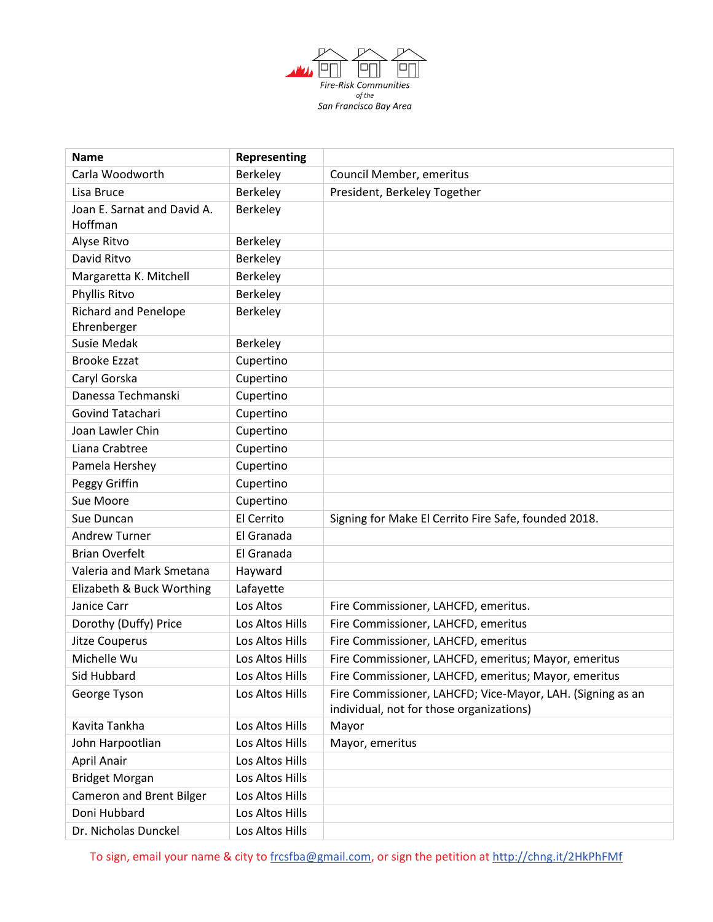

| <b>Name</b>                            | Representing    |                                                                                                        |
|----------------------------------------|-----------------|--------------------------------------------------------------------------------------------------------|
| Carla Woodworth                        | Berkeley        | Council Member, emeritus                                                                               |
| Lisa Bruce                             | Berkeley        | President, Berkeley Together                                                                           |
| Joan E. Sarnat and David A.<br>Hoffman | Berkeley        |                                                                                                        |
| Alyse Ritvo                            | Berkeley        |                                                                                                        |
| David Ritvo                            | Berkeley        |                                                                                                        |
| Margaretta K. Mitchell                 | Berkeley        |                                                                                                        |
| Phyllis Ritvo                          | Berkeley        |                                                                                                        |
| <b>Richard and Penelope</b>            | Berkeley        |                                                                                                        |
| Ehrenberger                            |                 |                                                                                                        |
| <b>Susie Medak</b>                     | Berkeley        |                                                                                                        |
| <b>Brooke Ezzat</b>                    | Cupertino       |                                                                                                        |
| Caryl Gorska                           | Cupertino       |                                                                                                        |
| Danessa Techmanski                     | Cupertino       |                                                                                                        |
| Govind Tatachari                       | Cupertino       |                                                                                                        |
| Joan Lawler Chin                       | Cupertino       |                                                                                                        |
| Liana Crabtree                         | Cupertino       |                                                                                                        |
| Pamela Hershey                         | Cupertino       |                                                                                                        |
| Peggy Griffin                          | Cupertino       |                                                                                                        |
| Sue Moore                              | Cupertino       |                                                                                                        |
| Sue Duncan                             | El Cerrito      | Signing for Make El Cerrito Fire Safe, founded 2018.                                                   |
| <b>Andrew Turner</b>                   | El Granada      |                                                                                                        |
| <b>Brian Overfelt</b>                  | El Granada      |                                                                                                        |
| Valeria and Mark Smetana               | Hayward         |                                                                                                        |
| Elizabeth & Buck Worthing              | Lafayette       |                                                                                                        |
| Janice Carr                            | Los Altos       | Fire Commissioner, LAHCFD, emeritus.                                                                   |
| Dorothy (Duffy) Price                  | Los Altos Hills | Fire Commissioner, LAHCFD, emeritus                                                                    |
| <b>Jitze Couperus</b>                  | Los Altos Hills | Fire Commissioner, LAHCFD, emeritus                                                                    |
| Michelle Wu                            | Los Altos Hills | Fire Commissioner, LAHCFD, emeritus; Mayor, emeritus                                                   |
| Sid Hubbard                            | Los Altos Hills | Fire Commissioner, LAHCFD, emeritus; Mayor, emeritus                                                   |
| George Tyson                           | Los Altos Hills | Fire Commissioner, LAHCFD; Vice-Mayor, LAH. (Signing as an<br>individual, not for those organizations) |
| Kavita Tankha                          | Los Altos Hills | Mayor                                                                                                  |
| John Harpootlian                       | Los Altos Hills | Mayor, emeritus                                                                                        |
| April Anair                            | Los Altos Hills |                                                                                                        |
| <b>Bridget Morgan</b>                  | Los Altos Hills |                                                                                                        |
| Cameron and Brent Bilger               | Los Altos Hills |                                                                                                        |
| Doni Hubbard                           | Los Altos Hills |                                                                                                        |
| Dr. Nicholas Dunckel                   | Los Altos Hills |                                                                                                        |

To sign, email your name & city to [frcsfba@gmail.com,](mailto:frcsfba@gmail.com) or sign the petition at<http://chng.it/2HkPhFMf>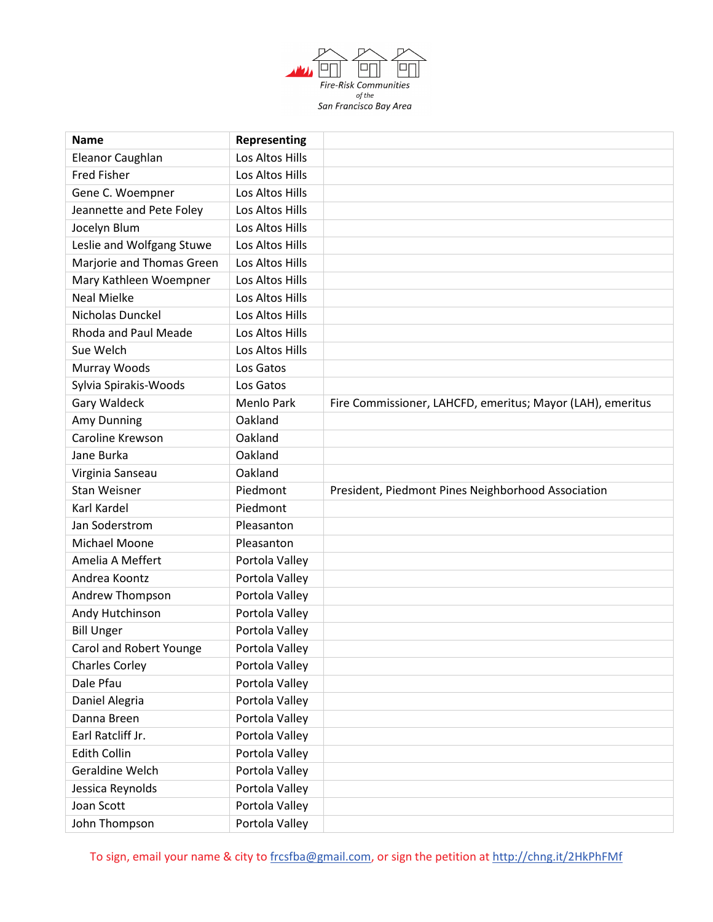

| <b>Name</b>               | Representing    |                                                            |
|---------------------------|-----------------|------------------------------------------------------------|
| Eleanor Caughlan          | Los Altos Hills |                                                            |
| <b>Fred Fisher</b>        | Los Altos Hills |                                                            |
| Gene C. Woempner          | Los Altos Hills |                                                            |
| Jeannette and Pete Foley  | Los Altos Hills |                                                            |
| Jocelyn Blum              | Los Altos Hills |                                                            |
| Leslie and Wolfgang Stuwe | Los Altos Hills |                                                            |
| Marjorie and Thomas Green | Los Altos Hills |                                                            |
| Mary Kathleen Woempner    | Los Altos Hills |                                                            |
| <b>Neal Mielke</b>        | Los Altos Hills |                                                            |
| Nicholas Dunckel          | Los Altos Hills |                                                            |
| Rhoda and Paul Meade      | Los Altos Hills |                                                            |
| Sue Welch                 | Los Altos Hills |                                                            |
| Murray Woods              | Los Gatos       |                                                            |
| Sylvia Spirakis-Woods     | Los Gatos       |                                                            |
| <b>Gary Waldeck</b>       | Menlo Park      | Fire Commissioner, LAHCFD, emeritus; Mayor (LAH), emeritus |
| Amy Dunning               | Oakland         |                                                            |
| Caroline Krewson          | Oakland         |                                                            |
| Jane Burka                | Oakland         |                                                            |
| Virginia Sanseau          | Oakland         |                                                            |
| <b>Stan Weisner</b>       | Piedmont        | President, Piedmont Pines Neighborhood Association         |
| Karl Kardel               | Piedmont        |                                                            |
| Jan Soderstrom            | Pleasanton      |                                                            |
| Michael Moone             | Pleasanton      |                                                            |
| Amelia A Meffert          | Portola Valley  |                                                            |
| Andrea Koontz             | Portola Valley  |                                                            |
| Andrew Thompson           | Portola Valley  |                                                            |
| Andy Hutchinson           | Portola Valley  |                                                            |
| <b>Bill Unger</b>         | Portola Valley  |                                                            |
| Carol and Robert Younge   | Portola Valley  |                                                            |
| <b>Charles Corley</b>     | Portola Valley  |                                                            |
| Dale Pfau                 | Portola Valley  |                                                            |
| Daniel Alegria            | Portola Valley  |                                                            |
| Danna Breen               | Portola Valley  |                                                            |
| Earl Ratcliff Jr.         | Portola Valley  |                                                            |
| <b>Edith Collin</b>       | Portola Valley  |                                                            |
| Geraldine Welch           | Portola Valley  |                                                            |
| Jessica Reynolds          | Portola Valley  |                                                            |
| Joan Scott                | Portola Valley  |                                                            |
| John Thompson             | Portola Valley  |                                                            |

To sign, email your name & city to [frcsfba@gmail.com,](mailto:frcsfba@gmail.com) or sign the petition at<http://chng.it/2HkPhFMf>